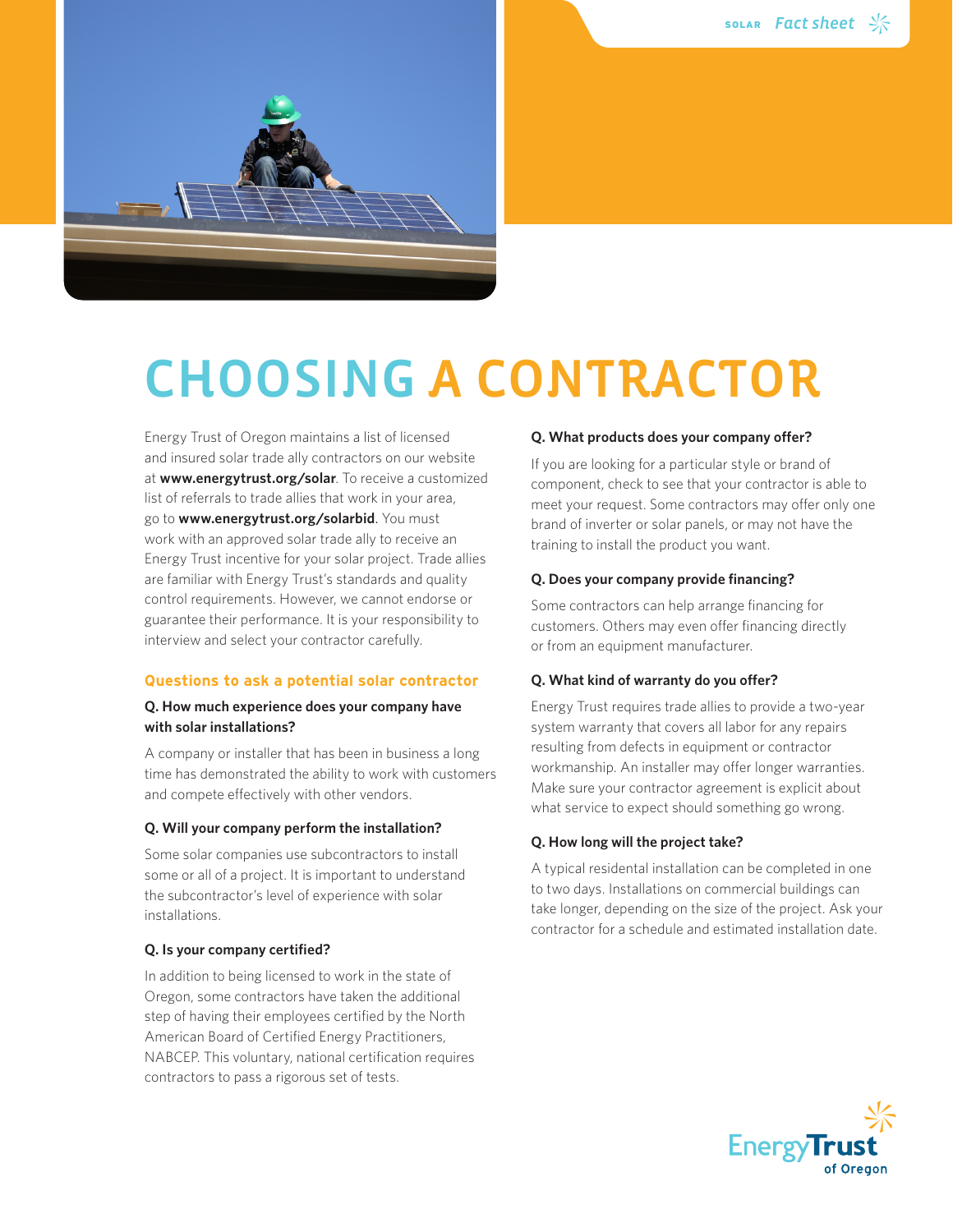

# CHOOSING A CONTRACTOR

Energy Trust of Oregon maintains a list of licensed and insured solar trade ally contractors on our website at **www.energytrust.org/solar**. To receive a customized list of referrals to trade allies that work in your area, go to **www.energytrust.org/solarbid**. You must work with an approved solar trade ally to receive an Energy Trust incentive for your solar project. Trade allies are familiar with Energy Trust's standards and quality control requirements. However, we cannot endorse or guarantee their performance. It is your responsibility to interview and select your contractor carefully.

### **Questions to ask a potential solar contractor**

## **Q. How much experience does your company have with solar installations?**

A company or installer that has been in business a long time has demonstrated the ability to work with customers and compete effectively with other vendors.

#### **Q. Will your company perform the installation?**

Some solar companies use subcontractors to install some or all of a project. It is important to understand the subcontractor's level of experience with solar installations.

### **Q. Is your company certified?**

In addition to being licensed to work in the state of Oregon, some contractors have taken the additional step of having their employees certified by the North American Board of Certified Energy Practitioners, NABCEP. This voluntary, national certification requires contractors to pass a rigorous set of tests.

#### **Q. What products does your company offer?**

If you are looking for a particular style or brand of component, check to see that your contractor is able to meet your request. Some contractors may offer only one brand of inverter or solar panels, or may not have the training to install the product you want.

#### **Q. Does your company provide financing?**

Some contractors can help arrange financing for customers. Others may even offer financing directly or from an equipment manufacturer.

#### **Q. What kind of warranty do you offer?**

Energy Trust requires trade allies to provide a two-year system warranty that covers all labor for any repairs resulting from defects in equipment or contractor workmanship. An installer may offer longer warranties. Make sure your contractor agreement is explicit about what service to expect should something go wrong.

#### **Q. How long will the project take?**

A typical residental installation can be completed in one to two days. Installations on commercial buildings can take longer, depending on the size of the project. Ask your contractor for a schedule and estimated installation date.